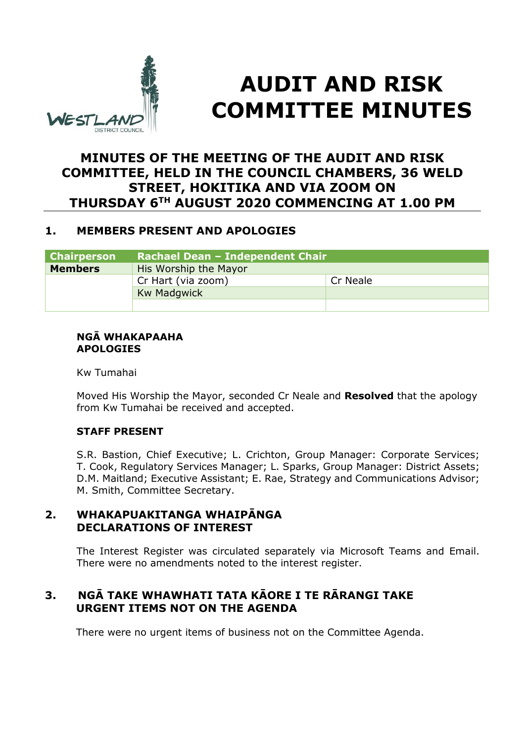

# **AUDIT AND RISK COMMITTEE MINUTES**

# **MINUTES OF THE MEETING OF THE AUDIT AND RISK COMMITTEE, HELD IN THE COUNCIL CHAMBERS, 36 WELD STREET, HOKITIKA AND VIA ZOOM ON THURSDAY 6TH AUGUST 2020 COMMENCING AT 1.00 PM**

# **1. MEMBERS PRESENT AND APOLOGIES**

| <b>Chairperson</b> | Rachael Dean - Independent Chair |          |  |
|--------------------|----------------------------------|----------|--|
| <b>Members</b>     | His Worship the Mayor            |          |  |
|                    | Cr Hart (via zoom)               | Cr Neale |  |
|                    | <b>Kw Madgwick</b>               |          |  |
|                    |                                  |          |  |

#### **NGĀ WHAKAPAAHA APOLOGIES**

Kw Tumahai

Moved His Worship the Mayor, seconded Cr Neale and **Resolved** that the apology from Kw Tumahai be received and accepted.

# **STAFF PRESENT**

S.R. Bastion, Chief Executive; L. Crichton, Group Manager: Corporate Services; T. Cook, Regulatory Services Manager; L. Sparks, Group Manager: District Assets; D.M. Maitland; Executive Assistant; E. Rae, Strategy and Communications Advisor; M. Smith, Committee Secretary.

# **2. WHAKAPUAKITANGA WHAIPĀNGA DECLARATIONS OF INTEREST**

The Interest Register was circulated separately via Microsoft Teams and Email. There were no amendments noted to the interest register.

# **3. NGĀ TAKE WHAWHATI TATA KĀORE I TE RĀRANGI TAKE URGENT ITEMS NOT ON THE AGENDA**

There were no urgent items of business not on the Committee Agenda.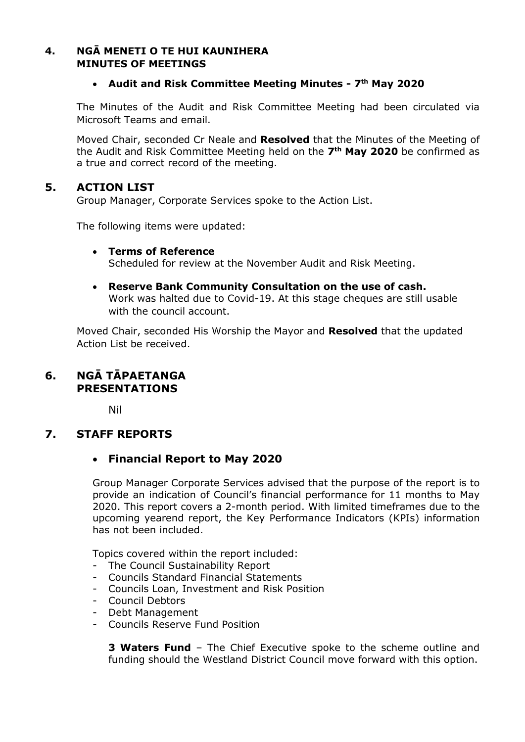### **4. NGĀ MENETI O TE HUI KAUNIHERA MINUTES OF MEETINGS**

#### **Audit and Risk Committee Meeting Minutes - 7th May 2020**

The Minutes of the Audit and Risk Committee Meeting had been circulated via Microsoft Teams and email.

Moved Chair, seconded Cr Neale and **Resolved** that the Minutes of the Meeting of the Audit and Risk Committee Meeting held on the **7 th May 2020** be confirmed as a true and correct record of the meeting.

# **5. ACTION LIST**

Group Manager, Corporate Services spoke to the Action List.

The following items were updated:

- **Terms of Reference**  Scheduled for review at the November Audit and Risk Meeting.
- **Reserve Bank Community Consultation on the use of cash.**  Work was halted due to Covid-19. At this stage cheques are still usable with the council account.

Moved Chair, seconded His Worship the Mayor and **Resolved** that the updated Action List be received.

# **6. NGĀ TĀPAETANGA PRESENTATIONS**

Nil

# **7. STAFF REPORTS**

# **Financial Report to May 2020**

Group Manager Corporate Services advised that the purpose of the report is to provide an indication of Council's financial performance for 11 months to May 2020. This report covers a 2-month period. With limited timeframes due to the upcoming yearend report, the Key Performance Indicators (KPIs) information has not been included.

Topics covered within the report included:

- The Council Sustainability Report
- Councils Standard Financial Statements
- Councils Loan, Investment and Risk Position
- Council Debtors
- Debt Management
- Councils Reserve Fund Position

**3 Waters Fund** – The Chief Executive spoke to the scheme outline and funding should the Westland District Council move forward with this option.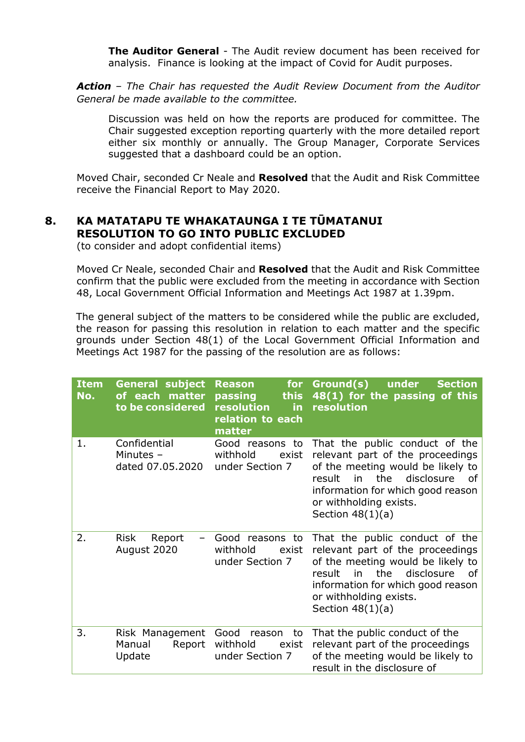**The Auditor General** - The Audit review document has been received for analysis. Finance is looking at the impact of Covid for Audit purposes.

*Action – The Chair has requested the Audit Review Document from the Auditor General be made available to the committee.* 

Discussion was held on how the reports are produced for committee. The Chair suggested exception reporting quarterly with the more detailed report either six monthly or annually. The Group Manager, Corporate Services suggested that a dashboard could be an option.

Moved Chair, seconded Cr Neale and **Resolved** that the Audit and Risk Committee receive the Financial Report to May 2020.

# **8. KA MATATAPU TE WHAKATAUNGA I TE TŪMATANUI RESOLUTION TO GO INTO PUBLIC EXCLUDED**

(to consider and adopt confidential items)

 Moved Cr Neale, seconded Chair and **Resolved** that the Audit and Risk Committee confirm that the public were excluded from the meeting in accordance with Section 48, Local Government Official Information and Meetings Act 1987 at 1.39pm.

The general subject of the matters to be considered while the public are excluded, the reason for passing this resolution in relation to each matter and the specific grounds under Section 48(1) of the Local Government Official Information and Meetings Act 1987 for the passing of the resolution are as follows:

| <b>Item</b><br>No. | subject<br><b>General</b><br>of each<br>matter<br>to be considered | <b>Reason</b><br>for<br>this<br>passing<br>resolution<br>in.<br>relation to each<br>matter | Ground(s)<br>under<br><b>Section</b><br>48(1) for the passing of this<br>resolution                                                                                                                                                     |
|--------------------|--------------------------------------------------------------------|--------------------------------------------------------------------------------------------|-----------------------------------------------------------------------------------------------------------------------------------------------------------------------------------------------------------------------------------------|
| 1.                 | Confidential<br>Minutes -<br>dated 07.05.2020                      | Good reasons to<br>withhold<br>exist<br>under Section 7                                    | That the public conduct of the<br>relevant part of the proceedings<br>of the meeting would be likely to<br>the<br>in<br>disclosure<br>result<br>of<br>information for which good reason<br>or withholding exists.<br>Section $48(1)(a)$ |
| 2.                 | <b>Risk</b><br>Report<br>August 2020                               | Good reasons to<br>withhold<br>exist<br>under Section 7                                    | That the public conduct of the<br>relevant part of the proceedings<br>of the meeting would be likely to<br>the<br>disclosure<br>result<br>in<br>οf<br>information for which good reason<br>or withholding exists.<br>Section $48(1)(a)$ |
| 3.                 | Risk Management<br>Manual<br>Report<br>Update                      | Good<br>reason<br>to<br>withhold<br>exist<br>under Section 7                               | That the public conduct of the<br>relevant part of the proceedings<br>of the meeting would be likely to<br>result in the disclosure of                                                                                                  |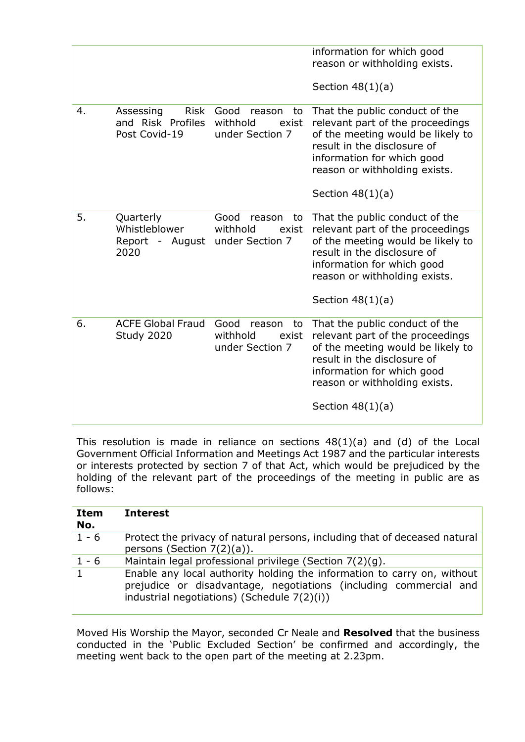|    |                                                         |                                                              | information for which good<br>reason or withholding exists.                                                                                                                                                                 |
|----|---------------------------------------------------------|--------------------------------------------------------------|-----------------------------------------------------------------------------------------------------------------------------------------------------------------------------------------------------------------------------|
|    |                                                         |                                                              | Section $48(1)(a)$                                                                                                                                                                                                          |
| 4. | Risk<br>Assessing<br>and Risk Profiles<br>Post Covid-19 | Good<br>reason<br>to<br>withhold<br>exist<br>under Section 7 | That the public conduct of the<br>relevant part of the proceedings<br>of the meeting would be likely to<br>result in the disclosure of<br>information for which good<br>reason or withholding exists.<br>Section $48(1)(a)$ |
| 5. | Quarterly<br>Whistleblower<br>Report - August<br>2020   | Good<br>reason<br>to<br>withhold<br>exist<br>under Section 7 | That the public conduct of the<br>relevant part of the proceedings<br>of the meeting would be likely to<br>result in the disclosure of<br>information for which good<br>reason or withholding exists.<br>Section $48(1)(a)$ |
| 6. | <b>ACFE Global Fraud</b><br>Study 2020                  | Good<br>reason<br>to<br>withhold<br>exist<br>under Section 7 | That the public conduct of the<br>relevant part of the proceedings<br>of the meeting would be likely to<br>result in the disclosure of<br>information for which good<br>reason or withholding exists.<br>Section $48(1)(a)$ |

This resolution is made in reliance on sections  $48(1)(a)$  and (d) of the Local Government Official Information and Meetings Act 1987 and the particular interests or interests protected by section 7 of that Act, which would be prejudiced by the holding of the relevant part of the proceedings of the meeting in public are as follows:

| Item<br>No. | <b>Interest</b>                                                                                                                                                                             |
|-------------|---------------------------------------------------------------------------------------------------------------------------------------------------------------------------------------------|
| $1 - 6$     | Protect the privacy of natural persons, including that of deceased natural<br>persons (Section $7(2)(a)$ ).                                                                                 |
| $1 - 6$     | Maintain legal professional privilege (Section 7(2)(g).                                                                                                                                     |
|             | Enable any local authority holding the information to carry on, without<br>prejudice or disadvantage, negotiations (including commercial and<br>industrial negotiations) (Schedule 7(2)(i)) |

Moved His Worship the Mayor, seconded Cr Neale and **Resolved** that the business conducted in the 'Public Excluded Section' be confirmed and accordingly, the meeting went back to the open part of the meeting at 2.23pm.